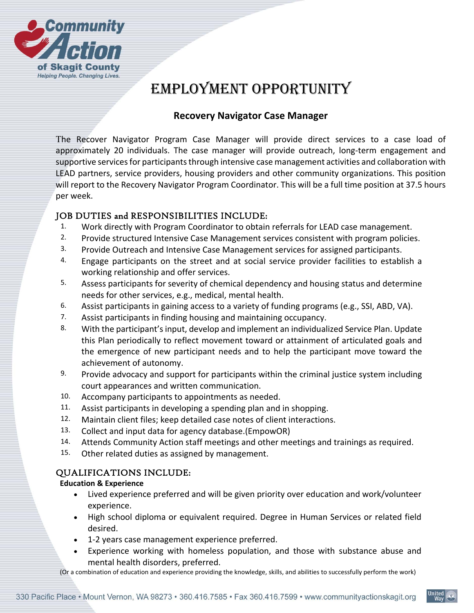

# EMPLOYMENT OPPORTUNITY

## **Recovery Navigator Case Manager**

The Recover Navigator Program Case Manager will provide direct services to a case load of approximately 20 individuals. The case manager will provide outreach, long-term engagement and supportive services for participants through intensive case management activities and collaboration with LEAD partners, service providers, housing providers and other community organizations. This position will report to the Recovery Navigator Program Coordinator. This will be a full time position at 37.5 hours per week.

## JOB DUTIES and RESPONSIBILITIES INCLUDE:

- 1. Work directly with Program Coordinator to obtain referrals for LEAD case management.
- 2. Provide structured Intensive Case Management services consistent with program policies.
- 3. Provide Outreach and Intensive Case Management services for assigned participants.
- 4. Engage participants on the street and at social service provider facilities to establish a working relationship and offer services.
- 5. Assess participants for severity of chemical dependency and housing status and determine needs for other services, e.g., medical, mental health.
- 6. Assist participants in gaining access to a variety of funding programs (e.g., SSI, ABD, VA).
- 7. Assist participants in finding housing and maintaining occupancy.
- 8. With the participant's input, develop and implement an individualized Service Plan. Update this Plan periodically to reflect movement toward or attainment of articulated goals and the emergence of new participant needs and to help the participant move toward the achievement of autonomy.
- 9. Provide advocacy and support for participants within the criminal justice system including court appearances and written communication.
- 10. Accompany participants to appointments as needed.
- 11. Assist participants in developing a spending plan and in shopping.
- 12. Maintain client files; keep detailed case notes of client interactions.
- 13. Collect and input data for agency database.(EmpowOR)
- 14. Attends Community Action staff meetings and other meetings and trainings as required.
- 15. Other related duties as assigned by management.

## QUALIFICATIONS INCLUDE:

#### **Education & Experience**

- Lived experience preferred and will be given priority over education and work/volunteer experience.
- High school diploma or equivalent required. Degree in Human Services or related field desired.
- 1‐2 years case management experience preferred.
- Experience working with homeless population, and those with substance abuse and mental health disorders, preferred.

(Or a combination of education and experience providing the knowledge, skills, and abilities to successfully perform the work)

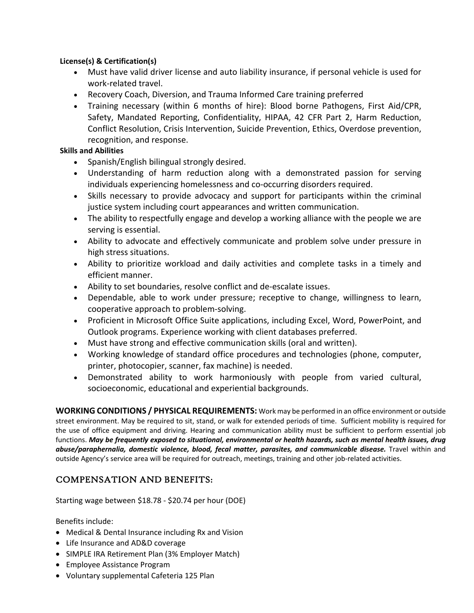#### **License(s) & Certification(s)**

- Must have valid driver license and auto liability insurance, if personal vehicle is used for work‐related travel.
- Recovery Coach, Diversion, and Trauma Informed Care training preferred
- Training necessary (within 6 months of hire): Blood borne Pathogens, First Aid/CPR, Safety, Mandated Reporting, Confidentiality, HIPAA, 42 CFR Part 2, Harm Reduction, Conflict Resolution, Crisis Intervention, Suicide Prevention, Ethics, Overdose prevention, recognition, and response.

#### **Skills and Abilities**

- Spanish/English bilingual strongly desired.
- Understanding of harm reduction along with a demonstrated passion for serving individuals experiencing homelessness and co‐occurring disorders required.
- Skills necessary to provide advocacy and support for participants within the criminal justice system including court appearances and written communication.
- The ability to respectfully engage and develop a working alliance with the people we are serving is essential.
- Ability to advocate and effectively communicate and problem solve under pressure in high stress situations.
- Ability to prioritize workload and daily activities and complete tasks in a timely and efficient manner.
- Ability to set boundaries, resolve conflict and de-escalate issues.
- Dependable, able to work under pressure; receptive to change, willingness to learn, cooperative approach to problem‐solving.
- Proficient in Microsoft Office Suite applications, including Excel, Word, PowerPoint, and Outlook programs. Experience working with client databases preferred.
- Must have strong and effective communication skills (oral and written).
- Working knowledge of standard office procedures and technologies (phone, computer, printer, photocopier, scanner, fax machine) is needed.
- Demonstrated ability to work harmoniously with people from varied cultural, socioeconomic, educational and experiential backgrounds.

**WORKING CONDITIONS / PHYSICAL REQUIREMENTS:** Work may be performed in an office environment or outside street environment. May be required to sit, stand, or walk for extended periods of time. Sufficient mobility is required for the use of office equipment and driving. Hearing and communication ability must be sufficient to perform essential job functions. *May be frequently exposed to situational, environmental or health hazards, such as mental health issues, drug abuse/paraphernalia, domestic violence, blood, fecal matter, parasites, and communicable disease.*  Travel within and outside Agency's service area will be required for outreach, meetings, training and other job-related activities.

## COMPENSATION AND BENEFITS:

Starting wage between \$18.78 ‐ \$20.74 per hour (DOE)

Benefits include:

- Medical & Dental Insurance including Rx and Vision
- Life Insurance and AD&D coverage
- SIMPLE IRA Retirement Plan (3% Employer Match)
- Employee Assistance Program
- Voluntary supplemental Cafeteria 125 Plan